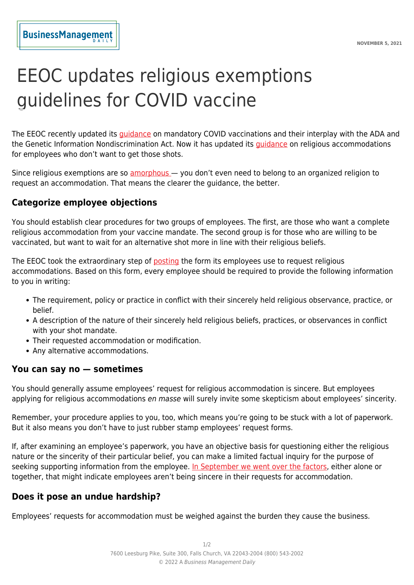# EEOC updates religious exemptions guidelines for COVID vaccine

The EEOC recently updated its [guidance](https://www.businessmanagementdaily.com/66734/the-eeoc-makes-pro-business-updates-to-its-covid-vaccine-guidance/) on mandatory COVID vaccinations and their interplay with the ADA and the Genetic Information Nondiscrimination Act. Now it has updated its [guidance](https://www.eeoc.gov/wysk/what-you-should-know-about-covid-19-and-ada-rehabilitation-act-and-other-eeo-laws?utm_content=&utm_medium=email&utm_name=&utm_source=govdelivery&utm_term=#L) on religious accommodations for employees who don't want to get those shots.

Since religious exemptions are so [amorphous](https://www.businessmanagementdaily.com/66079/how-to-handle-religious-objectives-to-covid-vaccines/) — you don't even need to belong to an organized religion to request an accommodation. That means the clearer the guidance, the better.

## **Categorize employee objections**

You should establish clear procedures for two groups of employees. The first, are those who want a complete religious accommodation from your vaccine mandate. The second group is for those who are willing to be vaccinated, but want to wait for an alternative shot more in line with their religious beliefs.

The EEOC took the extraordinary step of [posting](https://www.eeoc.gov/sites/default/files/2021-10/EEOC%20Religious%20Accommodation%20Request%20Form%20-%20for%20web.pdf) the form its employees use to request religious accommodations. Based on this form, every employee should be required to provide the following information to you in writing:

- The requirement, policy or practice in conflict with their sincerely held religious observance, practice, or belief.
- A description of the nature of their sincerely held religious beliefs, practices, or observances in conflict with your shot mandate.
- Their requested accommodation or modification.
- Any alternative accommodations.

#### **You can say no — sometimes**

You should generally assume employees' request for religious accommodation is sincere. But employees applying for religious accommodations en masse will surely invite some skepticism about employees' sincerity.

Remember, your procedure applies to you, too, which means you're going to be stuck with a lot of paperwork. But it also means you don't have to just rubber stamp employees' request forms.

If, after examining an employee's paperwork, you have an objective basis for questioning either the religious nature or the sincerity of their particular belief, you can make a limited factual inquiry for the purpose of seeking supporting information from the employee. [In September we went over the factors](https://www.businessmanagementdaily.com/66079/how-to-handle-religious-objectives-to-covid-vaccines/), either alone or together, that might indicate employees aren't being sincere in their requests for accommodation.

## **Does it pose an undue hardship?**

Employees' requests for accommodation must be weighed against the burden they cause the business.